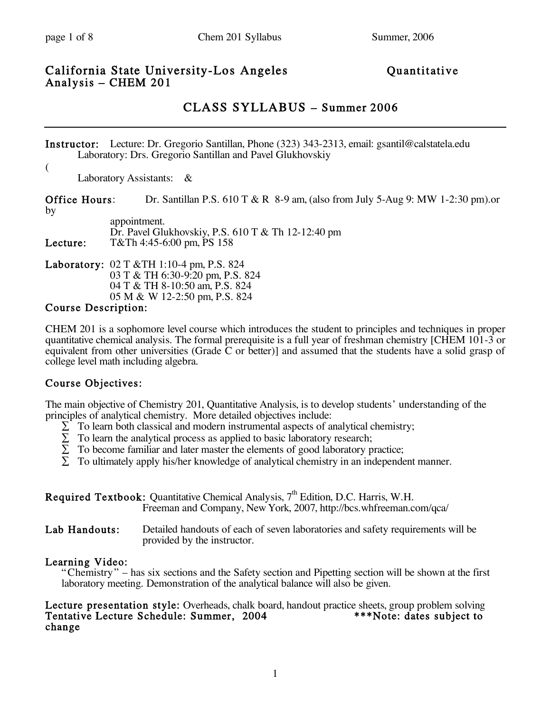#### California State University-Los Angeles Quantitative Analysis – CHEM 201

# CLASS SYLLABUS – Summer 2006

Instructor: Lecture: Dr. Gregorio Santillan, Phone (323) 343-2313, email: gsantil@calstatela.edu Laboratory: Drs. Gregorio Santillan and Pavel Glukhovskiy

 $($ Laboratory Assistants: &

Office Hours: Dr. Santillan P.S. 610 T & R 8-9 am, (also from July 5-Aug 9: MW 1-2:30 pm).or by

|          | appointment.<br>Dr. Pavel Glukhovskiy, P.S. 610 T & Th 12-12:40 pm |
|----------|--------------------------------------------------------------------|
| Lecture: | T&Th 4:45-6:00 pm, PS 158                                          |

Laboratory: 02 T &TH 1:10-4 pm, P.S. 824 03 T & TH 6:30-9:20 pm, P.S. 824 04 T & TH 8-10:50 am, P.S. 824 05 M & W 12-2:50 pm, P.S. 824

#### Course Description:

CHEM 201 is a sophomore level course which introduces the student to principles and techniques in proper quantitative chemical analysis. The formal prerequisite is a full year of freshman chemistry [CHEM 101-3 or equivalent from other universities (Grade  $\bar{C}$  or better)] and assumed that the students have a solid grasp of college level math including algebra.

### Course Objectives:

The main objective of Chemistry 201, Quantitative Analysis, is to develop students' understanding of the principles of analytical chemistry. More detailed objectives include:

- $\Sigma$  To learn both classical and modern instrumental aspects of analytical chemistry;
- $\Sigma$  To learn the analytical process as applied to basic laboratory research;
- $\Sigma$  To become familiar and later master the elements of good laboratory practice;
- $\Sigma$  To ultimately apply his/her knowledge of analytical chemistry in an independent manner.

|                          | <b>Required Textbook:</b> Quantitative Chemical Analysis, $7th$ Edition, D.C. Harris, W.H.<br>Freeman and Company, New York, 2007, http://bcs.whfreeman.com/qca/ |
|--------------------------|------------------------------------------------------------------------------------------------------------------------------------------------------------------|
| T al IIa <i>n</i> James, | Detailed leaderste of each of exportant labourteries and sofate marriagneoute will be                                                                            |

Lab Handouts: Detailed handouts of each of seven laboratories and safety requirements will be provided by the instructor.

### Learning Video:

"Chemistry" – has six sections and the Safety section and Pipetting section will be shown at the first laboratory meeting. Demonstration of the analytical balance will also be given.

# Lecture presentation style: Overheads, chalk board, handout practice sheets, group problem solving Tentative Lecture Schedule: Summer, 2004 \*\*\*Note: dates subject to change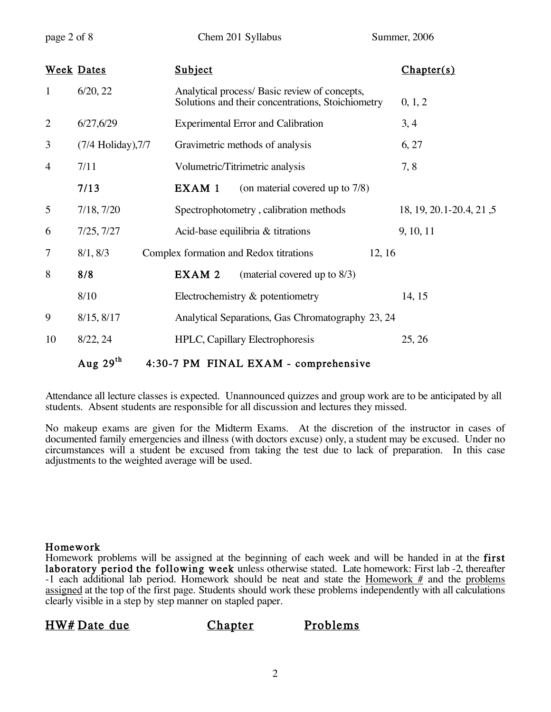page 2 of 8 Chem 201 Syllabus Summer, 2006

|                | <b>Week Dates</b>  | Subject                                                                                            | Chapter(s)               |
|----------------|--------------------|----------------------------------------------------------------------------------------------------|--------------------------|
| $\mathbf{1}$   | 6/20, 22           | Analytical process/ Basic review of concepts,<br>Solutions and their concentrations, Stoichiometry | 0, 1, 2                  |
| $\overline{2}$ | 6/27, 6/29         | <b>Experimental Error and Calibration</b>                                                          | 3, 4                     |
| 3              | (7/4 Holiday), 7/7 | Gravimetric methods of analysis                                                                    | 6, 27                    |
| $\overline{4}$ | 7/11               | Volumetric/Titrimetric analysis                                                                    | 7, 8                     |
|                | 7/13               | EXAM 1<br>(on material covered up to 7/8)                                                          |                          |
| 5              | 7/18, 7/20         | Spectrophotometry, calibration methods                                                             | 18, 19, 20.1-20.4, 21, 5 |
| 6              | 7/25, 7/27         | Acid-base equilibria & titrations                                                                  | 9, 10, 11                |
| $\tau$         | 8/1, 8/3           | 12, 16<br>Complex formation and Redox titrations                                                   |                          |
| 8              | 8/8                | EXAM 2<br>(material covered up to $8/3$ )                                                          |                          |
|                | 8/10               | Electrochemistry & potentiometry                                                                   | 14, 15                   |
| 9              | 8/15, 8/17         | Analytical Separations, Gas Chromatography 23, 24                                                  |                          |
| 10             | 8/22, 24           | HPLC, Capillary Electrophoresis                                                                    | 25, 26                   |
|                | Aug $29^{th}$      | 4:30-7 PM FINAL EXAM - comprehensive                                                               |                          |

Attendance all lecture classes is expected. Unannounced quizzes and group work are to be anticipated by all students. Absent students are responsible for all discussion and lectures they missed.

No makeup exams are given for the Midterm Exams. At the discretion of the instructor in cases of documented family emergencies and illness (with doctors excuse) only, a student may be excused. Under no circumstances will a student be excused from taking the test due to lack of preparation. In this case adjustments to the weighted average will be used.

#### Homework

Homework problems will be assigned at the beginning of each week and will be handed in at the first laboratory period the following week unless otherwise stated. Late homework: First lab -2, thereafter -1 each additional lab period. Homework should be neat and state the Homework  $#$  and the problems assigned at the top of the first page. Students should work these problems independently with all calculations clearly visible in a step by step manner on stapled paper.

HW# Date due Chapter Problems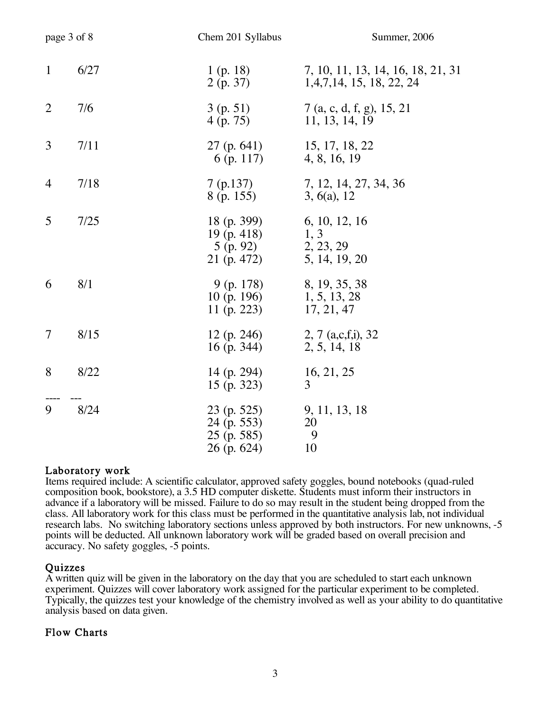| page 3 of 8    |      | Chem 201 Syllabus                                            | Summer, 2006                                                     |
|----------------|------|--------------------------------------------------------------|------------------------------------------------------------------|
| $\mathbf{1}$   | 6/27 | 1 (p. 18)<br>2(p. 37)                                        | 7, 10, 11, 13, 14, 16, 18, 21, 31<br>1, 4, 7, 14, 15, 18, 22, 24 |
| $\overline{2}$ | 7/6  | 3(p. 51)<br>4 (p. 75)                                        | 7 (a, c, d, f, g), 15, 21<br>11, 13, 14, 19                      |
| 3              | 7/11 | $27$ (p. 641)<br>6 (p. 117)                                  | 15, 17, 18, 22<br>4, 8, 16, 19                                   |
| 4              | 7/18 | 7(p.137)<br>8 (p. 155)                                       | 7, 12, 14, 27, 34, 36<br>3, 6(a), 12                             |
| 5              | 7/25 | 18 (p. 399)<br>$19$ (p. 418)<br>$5$ (p. 92)<br>21 (p. 472)   | 6, 10, 12, 16<br>1, 3<br>2, 23, 29<br>5, 14, 19, 20              |
| 6              | 8/1  | 9 (p. 178)<br>10 (p. 196)<br>11 (p. 223)                     | 8, 19, 35, 38<br>1, 5, 13, 28<br>17, 21, 47                      |
| 7              | 8/15 | 12 (p. 246)<br>16 (p. 344)                                   | 2, 7 $(a, c, f, i)$ , 32<br>2, 5, 14, 18                         |
| 8              | 8/22 | 14 (p. 294)<br>15 (p. 323)                                   | 16, 21, 25<br>3                                                  |
| 9              | 8/24 | 23 (p. 525)<br>24 (p. 553)<br>$25$ (p. 585)<br>$26$ (p. 624) | 9, 11, 13, 18<br>20<br>9<br>10                                   |

#### Laboratory work

Items required include: A scientific calculator, approved safety goggles, bound notebooks (quad-ruled composition book, bookstore), a 3.5 HD computer diskette. Students must inform their instructors in advance if a laboratory will be missed. Failure to do so may result in the student being dropped from the class. All laboratory work for this class must be performed in the quantitative analysis lab, not individual research labs. No switching laboratory sections unless approved by both instructors. For new unknowns, -5 points will be deducted. All unknown laboratory work will be graded based on overall precision and accuracy. No safety goggles, -5 points.

**Quizzes**<br>A written quiz will be given in the laboratory on the day that you are scheduled to start each unknown experiment. Quizzes will cover laboratory work assigned for the particular experiment to be completed. Typically, the quizzes test your knowledge of the chemistry involved as well as your ability to do quantitative analysis based on data given.

#### Flow Charts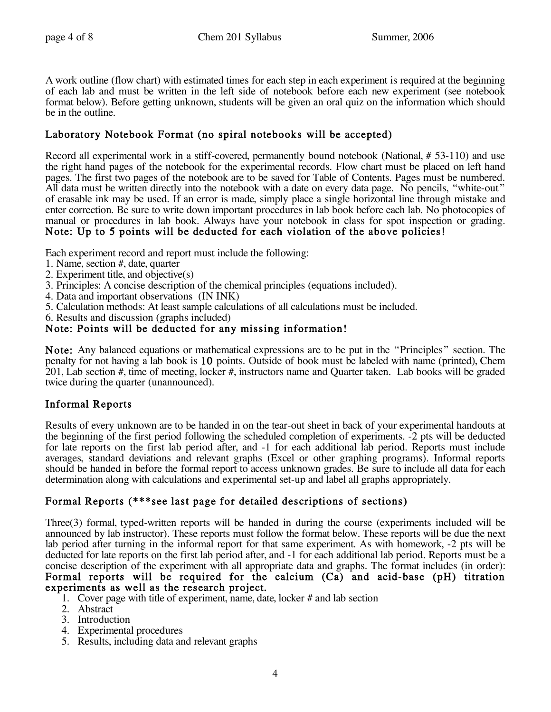A work outline (flow chart) with estimated times for each step in each experiment is required at the beginning of each lab and must be written in the left side of notebook before each new experiment (see notebook format below). Before getting unknown, students will be given an oral quiz on the information which should be in the outline.

### Laboratory Notebook Format (no spiral notebooks will be accepted)

Record all experimental work in a stiff-covered, permanently bound notebook (National, # 53-110) and use the right hand pages of the notebook for the experimental records. Flow chart must be placed on left hand pages. The first two pages of the notebook are to be saved for Table of Contents. Pages must be numbered. All data must be written directly into the notebook with a date on every data page. No pencils, "white-out" of erasable ink may be used. If an error is made, simply place a single horizontal line through mistake and enter correction. Be sure to write down important procedures in lab book before each lab. No photocopies of manual or procedures in lab book. Always have your notebook in class for spot inspection or grading. Note: Up to 5 points will be deducted for each violation of the above policies!

Each experiment record and report must include the following:

- 1. Name, section #, date, quarter
- 2. Experiment title, and objective(s)
- 3. Principles: A concise description of the chemical principles (equations included).
- 4. Data and important observations (IN INK)
- 5. Calculation methods: At least sample calculations of all calculations must be included.
- 6. Results and discussion (graphs included)

#### Note: Points will be deducted for any missing information!

Note: Any balanced equations or mathematical expressions are to be put in the "Principles" section. The penalty for not having a lab book is 10 points. Outside of book must be labeled with name (printed), Chem 201, Lab section #, time of meeting, locker #, instructors name and Quarter taken. Lab books will be graded twice during the quarter (unannounced).

### Informal Reports

Results of every unknown are to be handed in on the tear-out sheet in back of your experimental handouts at the beginning of the first period following the scheduled completion of experiments. -2 pts will be deducted for late reports on the first lab period after, and  $-1$  for each additional lab period. Reports must include averages, standard deviations and relevant graphs (Excel or other graphing programs). Informal reports should be handed in before the formal report to access unknown grades. Be sure to include all data for each determination along with calculations and experimental set-up and label all graphs appropriately.

### Formal Reports (\*\*\*see last page for detailed descriptions of sections)

Three(3) formal, typed-written reports will be handed in during the course (experiments included will be announced by lab instructor). These reports must follow the format below. These reports will be due the next lab period after turning in the informal report for that same experiment. As with homework, -2 pts will be deducted for late reports on the first lab period after, and -1 for each additional lab period. Reports must be a concise description of the experiment with all appropriate data and graphs. The format includes (in order): Formal reports will be required for the calcium (Ca) and acid-base (pH) titration experiments as well as the research project.<br>1. Cover page with title of experiment, name, date, locker # and lab section

- 
- 2. Abstract
- 3. Introduction
- 4. Experimental procedures
- 5. Results, including data and relevant graphs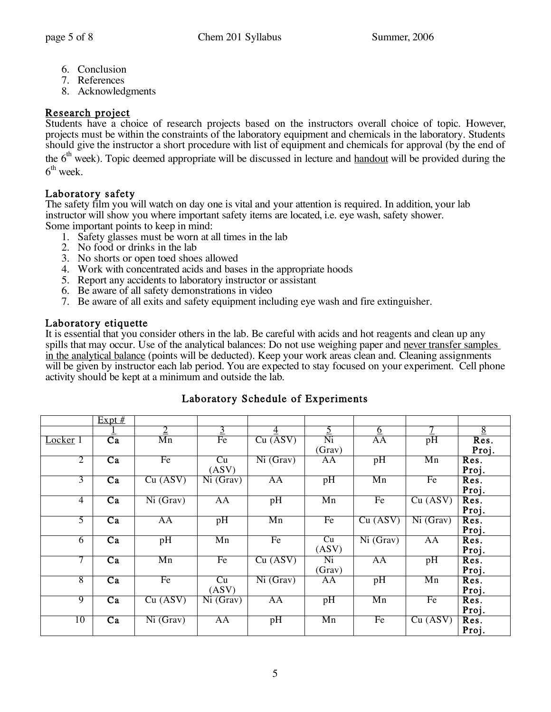- 6. Conclusion
- 7. References
- 8. Acknowledgments

### Research project

Students have a choice of research projects based on the instructors overall choice of topic. However, projects must be within the constraints of the laboratory equipment and chemicals in the laboratory. Students should give the instructor a short procedure with list of equipment and chemicals for approval (by the end of the 6<sup>th</sup> week). Topic deemed appropriate will be discussed in lecture and handout will be provided during the  $6^{\text{th}}$  week.

### Laboratory safety

The safety film you will watch on day one is vital and your attention is required. In addition, your lab instructor will show you where important safety items are located, i.e. eye wash, safety shower. Some important points to keep in mind:

- 1. Safety glasses must be worn at all times in the lab
- 2. No food or drinks in the lab
- 3. No shorts or open toed shoes allowed
- 4. Work with concentrated acids and bases in the appropriate hoods
- 5. Report any accidents to laboratory instructor or assistant
- 6. Be aware of all safety demonstrations in video
- 7. Be aware of all exits and safety equipment including eye wash and fire extinguisher.

#### Laboratory etiquette

It is essential that you consider others in the lab. Be careful with acids and hot reagents and clean up any spills that may occur. Use of the analytical balances: Do not use weighing paper and never transfer samples in the analytical balance (points will be deducted). Keep your work areas clean and. Cleaning assignments will be given by instructor each lab period. You are expected to stay focused on your experiment. Cell phone activity should be kept at a minimum and outside the lab.

|                     | $Expt$ #        |                |                |                |                |           |                |                |
|---------------------|-----------------|----------------|----------------|----------------|----------------|-----------|----------------|----------------|
|                     |                 | $\overline{2}$ | $\overline{3}$ | $\overline{4}$ | $\overline{5}$ | <u>6</u>  | $\overline{7}$ | $\overline{8}$ |
| Locker <sub>1</sub> | $\overline{Ca}$ | Mn             | Fe             | Cu (ASV)       | Ni             | AA        | pH             | Res.           |
|                     |                 |                |                |                | (Grav)         |           |                | Proj.          |
| $\overline{2}$      | $\overline{Ca}$ | Fe             | Cu             | Ni (Grav)      | AA             | pH        | Mn             | Res.           |
|                     |                 |                | (ASV)          |                |                |           |                | Proj.          |
| $\overline{3}$      | $\overline{Ca}$ | Cu (ASV)       | Ni(Grav)       | AA             | pH             | Mn        | Fe             | Res.           |
|                     |                 |                |                |                |                |           |                | Proj.          |
| $\overline{4}$      | $\overline{Ca}$ | Ni (Grav)      | AA             | pH             | Mn             | Fe        | Cu (ASV)       | Res.           |
|                     |                 |                |                |                |                |           |                | Proj.          |
| 5                   | Ca              | AA             | pH             | Mn             | Fe             | Cu (ASV)  | Ni (Grav)      | Res.           |
|                     |                 |                |                |                |                |           |                | Proj.          |
| 6                   | $\overline{Ca}$ | pH             | Mn             | Fe             | Cu             | Ni (Grav) | AA             | Res.           |
|                     |                 |                |                |                | (ASV)          |           |                | Proj.          |
| 7                   | $\overline{Ca}$ | Mn             | Fe             | Cu (ASV)       | Ni             | AA        | pH             | Res.           |
|                     |                 |                |                |                | (Grav)         |           |                | Proj.          |
| $\overline{8}$      | $\overline{Ca}$ | Fe             | Cu             | Ni (Grav)      | AA             | pH        | Mn             | Res.           |
|                     |                 |                | (ASV)          |                |                |           |                | Proj.          |
| $\overline{9}$      | $\overline{Ca}$ | Cu (ASV)       | Ni(Grav)       | AA             | pH             | Mn        | Fe             | Res.           |
|                     |                 |                |                |                |                |           |                | Proj.          |
| 10                  | Ca              | Ni(Grav)       | AA             | pH             | Mn             | Fe        | Cu (ASV)       | Res.           |
|                     |                 |                |                |                |                |           |                | Proj.          |

# Laboratory Schedule of Experiments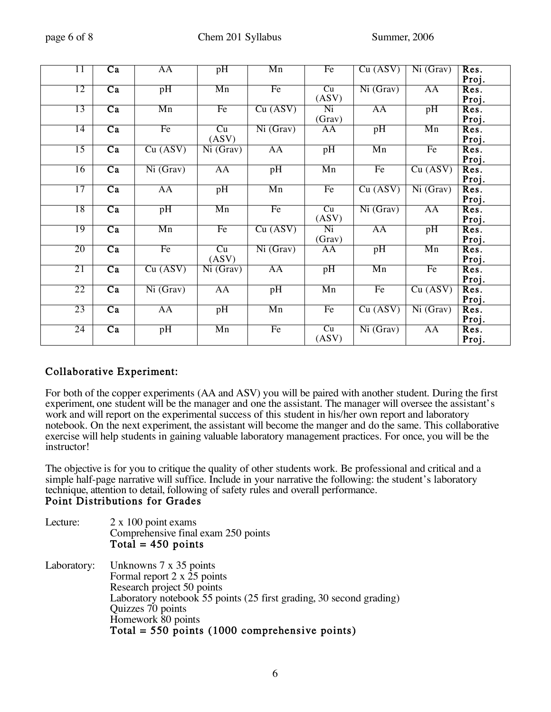| page 6 of 8 |  |  |
|-------------|--|--|
|             |  |  |

| 11              | $\overline{Ca}$ | AA        | pH                            | Mn        | Fe     | Cu (ASV)  | Ni (Grav)                     | Res.  |
|-----------------|-----------------|-----------|-------------------------------|-----------|--------|-----------|-------------------------------|-------|
|                 |                 |           |                               |           |        |           |                               | Proj. |
| 12              | $\overline{Ca}$ | pH        | Mn                            | Fe        | Cu     | Ni (Graw) | AA                            | Res.  |
|                 |                 |           |                               |           | (ASV)  |           |                               | Proj. |
| 13              | Ca              | Mn        | Fe                            | Cu (ASV)  | Ni     | AA        | pH                            | Res.  |
|                 |                 |           |                               |           | (Grav) |           |                               | Proj. |
| 14              | $\overline{Ca}$ | Fe        | Cu                            | Ni (Grav) | AA     | pH        | Mn                            | Res.  |
|                 |                 |           | (ASV)                         |           |        |           |                               | Proj. |
| 15              | Ca              | Cu (ASV)  | Ni(Grav)                      | AA        | pH     | Mn        | Fe                            | Res.  |
|                 |                 |           |                               |           |        |           |                               | Proj. |
| 16              | $\overline{Ca}$ | Ni (Grav) | AA                            | pH        | Mn     | Fe        | Cu (ASV)                      | Res.  |
|                 |                 |           |                               |           |        |           |                               | Proj. |
| 17              | $\overline{Ca}$ | AA        | pH                            | Mn        | Fe     | Cu (ASV)  | $\overline{\text{Ni (Graw)}}$ | Res.  |
|                 |                 |           |                               |           |        |           |                               | Proj. |
| 18              | $\overline{Ca}$ | pH        | Mn                            | Fe        | Cu     | Ni (Grav) | AA                            | Res.  |
|                 |                 |           |                               |           | (ASV)  |           |                               | Proj. |
| 19              | $\overline{Ca}$ | Mn        | Fe                            | Cu (ASV)  | Ni     | AA        | pH                            | Res.  |
|                 |                 |           |                               |           | (Grav) |           |                               | Proj. |
| 20              | $\overline{Ca}$ | Fe        | Cu                            | Ni (Grav) | AA     | pH        | Mn                            | Res.  |
|                 |                 |           | (ASV)                         |           |        |           |                               | Proj. |
| 21              | $\overline{Ca}$ | Cu (ASV)  | $\overline{\text{Ni}}$ (Grav) | AA        | pH     | Mn        | Fe                            | Res.  |
|                 |                 |           |                               |           |        |           |                               | Proj. |
| 22              | $\overline{Ca}$ | Ni (Grav) | AA                            | pH        | Mn     | Fe        | Cu (ASV)                      | Res.  |
|                 |                 |           |                               |           |        |           |                               | Proj. |
| 23              | $\overline{Ca}$ | AA        | pH                            | Mn        | Fe     | Cu (ASV)  | Ni (Grav)                     | Res.  |
|                 |                 |           |                               |           |        |           |                               | Proj. |
| $\overline{24}$ | $\overline{Ca}$ | pH        | Mn                            | Fe        | Cu     | Ni (Grav) | AA                            | Res.  |
|                 |                 |           |                               |           | (ASV)  |           |                               | Proj. |

### Collaborative Experiment:

For both of the copper experiments (AA and ASV) you will be paired with another student. During the first experiment, one student will be the manager and one the assistant. The manager will oversee the assistant's work and will report on the experimental success of this student in his/her own report and laboratory notebook. On the next experiment, the assistant will become the manger and do the same. This collaborative exercise will help students in gaining valuable laboratory management practices. For once, you will be the instructor!

The objective is for you to critique the quality of other students work. Be professional and critical and a simple half-page narrative will suffice. Include in your narrative the following: the student's laboratory technique, attention to detail, following of safety rules and overall performance. Point Distributions for Grades

| Lecture:    | $2 \times 100$ point exams<br>Comprehensive final exam 250 points<br>Total = $450$ points                                                                                                                                                                 |
|-------------|-----------------------------------------------------------------------------------------------------------------------------------------------------------------------------------------------------------------------------------------------------------|
| Laboratory: | Unknowns 7 x 35 points<br>Formal report 2 x 25 points<br>Research project 50 points<br>Laboratory notebook 55 points (25 first grading, 30 second grading)<br>Quizzes 70 points<br>Homework 80 points<br>Total = $550$ points (1000 comprehensive points) |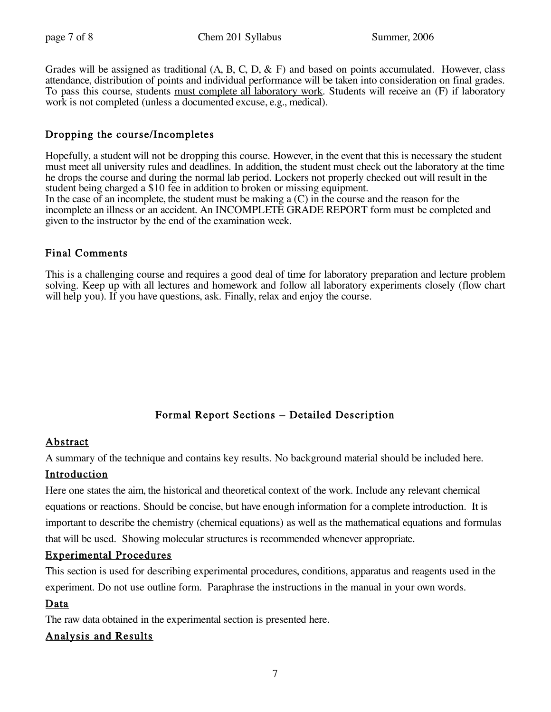Grades will be assigned as traditional  $(A, B, C, D, \& F)$  and based on points accumulated. However, class attendance, distribution of points and individual performance will be taken into consideration on final grades. To pass this course, students must complete all laboratory work. Students will receive an (F) if laboratory work is not completed (unless a documented excuse, e.g., medical).

## Dropping the course/Incompletes

Hopefully, a student will not be dropping this course. However, in the event that this is necessary the student must meet all university rules and deadlines. In addition, the student must check out the laboratory at the time he drops the course and during the normal lab period. Lockers not properly checked out will result in the student being charged a \$10 fee in addition to broken or missing equipment. In the case of an incomplete, the student must be making a  $(C)$  in the course and the reason for the incomplete an illness or an accident. An INCOMPLETE GRADE REPORT form must be completed and given to the instructor by the end of the examination week.

# Final Comments

This is a challenging course and requires a good deal of time for laboratory preparation and lecture problem solving. Keep up with all lectures and homework and follow all laboratory experiments closely (flow chart will help you). If you have questions, ask. Finally, relax and enjoy the course.

# Formal Report Sections – Detailed Description

# Abstract

A summary of the technique and contains key results. No background material should be included here.

#### Introduction

Here one states the aim, the historical and theoretical context of the work. Include any relevant chemical equations or reactions. Should be concise, but have enough information for a complete introduction. It is important to describe the chemistry (chemical equations) as well as the mathematical equations and formulas that will be used. Showing molecular structures is recommended whenever appropriate.

### Experimental Procedures

This section is used for describing experimental procedures, conditions, apparatus and reagents used in the experiment. Do not use outline form. Paraphrase the instructions in the manual in your own words.

### Data

The raw data obtained in the experimental section is presented here.

### Analysis and Results